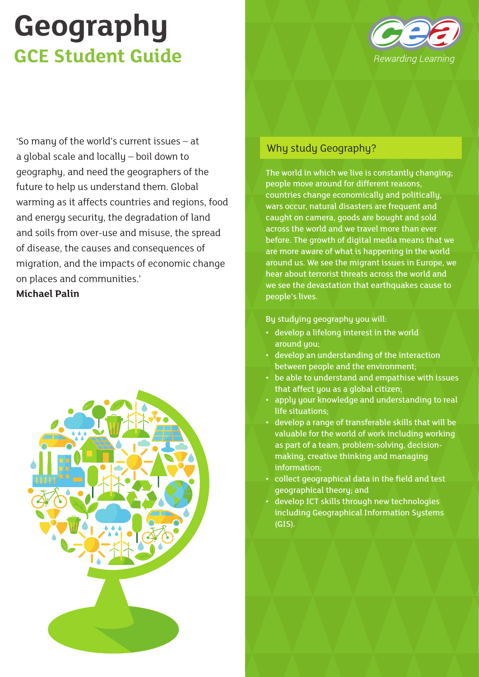

'So many of the world's current issues – at a global scale and locally – boil down to geography, and need the geographers of the future to help us understand them. Global warming as it affects countries and regions, food and energy security, the degradation of land and soils from over-use and misuse, the spread of disease, the causes and consequences of migration, and the impacts of economic change on places and communities.' **Michael Palin**



#### Why study Geography?

The world in which we live is constantly changing; people move around for different reasons, countries change economically and politically, wars occur, natural disasters are frequent and caught on camera, goods are bought and sold across the world and we travel more than ever before. The growth of digital media means that we are more aware of what is happening in the world around us. We see the migrant issues in Europe, we hear about terrorist threats across the world and we see the devastation that earthquakes cause to people's lives.

#### By studying geography you will:

- develop a lifelong interest in the world around you;
- develop an understanding of the interaction between people and the environment;
- be able to understand and empathise with issues that affect you as a global citizen;
- apply your knowledge and understanding to real life situations;
- develop a range of transferable skills that will be valuable for the world of work including working as part of a team, problem-solving, decisionmaking, creative thinking and managing information;
- collect geographical data in the field and test geographical theory; and
- develop ICT skills through new technologies including Geographical Information Systems (GIS).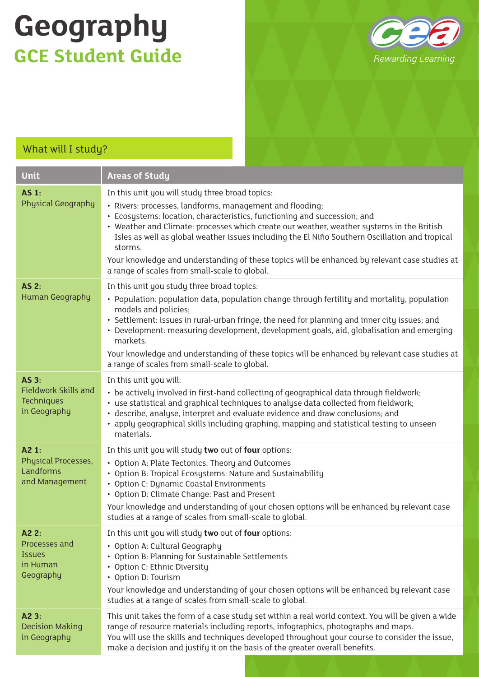

| What will I study?                                                        |                                                                                                                                                                                                                                                                                                                                                                                                                                                                                                                                                     |
|---------------------------------------------------------------------------|-----------------------------------------------------------------------------------------------------------------------------------------------------------------------------------------------------------------------------------------------------------------------------------------------------------------------------------------------------------------------------------------------------------------------------------------------------------------------------------------------------------------------------------------------------|
| Unit                                                                      | <b>Areas of Study</b>                                                                                                                                                                                                                                                                                                                                                                                                                                                                                                                               |
| <b>AS 1:</b><br><b>Physical Geography</b>                                 | In this unit you will study three broad topics:<br>· Rivers: processes, landforms, management and flooding;<br>• Ecosystems: location, characteristics, functioning and succession; and<br>• Weather and Climate: processes which create our weather, weather systems in the British<br>Isles as well as global weather issues including the El Niño Southern Oscillation and tropical<br>storms.<br>Your knowledge and understanding of these topics will be enhanced by relevant case studies at<br>a range of scales from small-scale to global. |
| <b>AS 2:</b><br><b>Human Geography</b>                                    | In this unit you study three broad topics:<br>• Population: population data, population change through fertility and mortality, population<br>models and policies;<br>• Settlement: issues in rural-urban fringe, the need for planning and inner city issues; and<br>• Development: measuring development, development goals, aid, globalisation and emerging<br>markets.<br>Your knowledge and understanding of these topics will be enhanced by relevant case studies at<br>a range of scales from small-scale to global.                        |
| <b>AS 3:</b><br><b>Fieldwork Skills and</b><br>Techniques<br>in Geography | In this unit you will:<br>• be actively involved in first-hand collecting of geographical data through fieldwork;<br>• use statistical and graphical techniques to analyse data collected from fieldwork;<br>· describe, analyse, interpret and evaluate evidence and draw conclusions; and<br>• apply geographical skills including graphing, mapping and statistical testing to unseen<br>materials.                                                                                                                                              |
| A2 1:<br>Physical Processes,<br>Landforms<br>and Management               | In this unit you will study two out of four options:<br>• Option A: Plate Tectonics: Theory and Outcomes<br>• Option B: Tropical Ecosystems: Nature and Sustainability<br>• Option C: Dynamic Coastal Environments<br>• Option D: Climate Change: Past and Present<br>Your knowledge and understanding of your chosen options will be enhanced by relevant case<br>studies at a range of scales from small-scale to global.                                                                                                                         |
| A2 2:<br>Processes and<br><b>Issues</b><br>in Human<br>Geography          | In this unit you will study two out of four options:<br>• Option A: Cultural Geography<br>• Option B: Planning for Sustainable Settlements<br>• Option C: Ethnic Diversity<br>• Option D: Tourism<br>Your knowledge and understanding of your chosen options will be enhanced by relevant case<br>studies at a range of scales from small-scale to global.                                                                                                                                                                                          |
| A2 3:<br><b>Decision Making</b><br>in Geography                           | This unit takes the form of a case study set within a real world context. You will be given a wide<br>range of resource materials including reports, infographics, photographs and maps.<br>You will use the skills and techniques developed throughout your course to consider the issue,<br>make a decision and justify it on the basis of the greater overall benefits.                                                                                                                                                                          |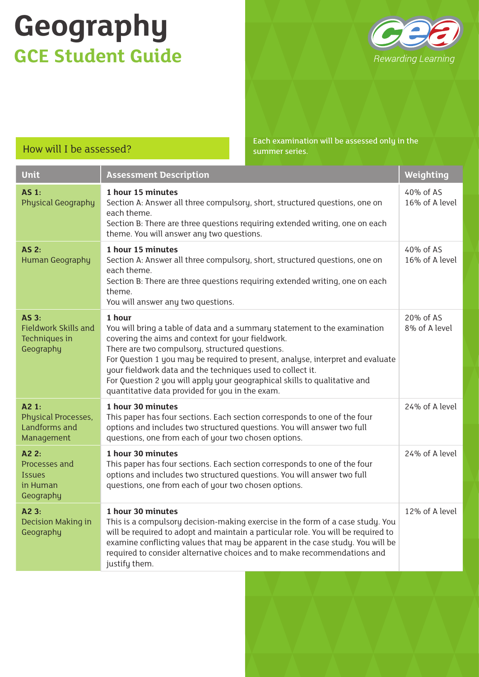

How will I be assessed? Each examination will be assessed only in the summer series.

| <b>Unit</b>                                                                  | <b>Assessment Description</b>                                                                                                                                                                                                                                                                                                                                                                                                                                               | Weighting                   |
|------------------------------------------------------------------------------|-----------------------------------------------------------------------------------------------------------------------------------------------------------------------------------------------------------------------------------------------------------------------------------------------------------------------------------------------------------------------------------------------------------------------------------------------------------------------------|-----------------------------|
| $AS1$ :<br><b>Physical Geography</b>                                         | 1 hour 15 minutes<br>Section A: Answer all three compulsory, short, structured questions, one on<br>each theme.<br>Section B: There are three questions requiring extended writing, one on each<br>theme. You will answer any two questions.                                                                                                                                                                                                                                | 40% of AS<br>16% of A level |
| <b>AS 2:</b><br><b>Human Geography</b>                                       | 1 hour 15 minutes<br>Section A: Answer all three compulsory, short, structured questions, one on<br>each theme.<br>Section B: There are three questions requiring extended writing, one on each<br>theme.<br>You will answer any two questions.                                                                                                                                                                                                                             | 40% of AS<br>16% of A level |
| AS <sub>3</sub><br><b>Fieldwork Skills and</b><br>Techniques in<br>Geography | 1 hour<br>You will bring a table of data and a summary statement to the examination<br>covering the aims and context for your fieldwork.<br>There are two compulsory, structured questions.<br>For Question 1 you may be required to present, analyse, interpret and evaluate<br>your fieldwork data and the techniques used to collect it.<br>For Question 2 you will apply your geographical skills to qualitative and<br>quantitative data provided for you in the exam. | 20% of AS<br>8% of A level  |
| A2 1:<br>Physical Processes,<br>Landforms and<br>Management                  | 1 hour 30 minutes<br>This paper has four sections. Each section corresponds to one of the four<br>options and includes two structured questions. You will answer two full<br>questions, one from each of your two chosen options.                                                                                                                                                                                                                                           | 24% of A level              |
| A22:<br>Processes and<br><b>Issues</b><br>in Human<br>Geography              | 1 hour 30 minutes<br>This paper has four sections. Each section corresponds to one of the four<br>options and includes two structured questions. You will answer two full<br>questions, one from each of your two chosen options.                                                                                                                                                                                                                                           | 24% of A level              |
| A2 3:<br>Decision Making in<br>Geography                                     | 1 hour 30 minutes<br>This is a compulsory decision-making exercise in the form of a case study. You<br>will be required to adopt and maintain a particular role. You will be required to<br>examine conflicting values that may be apparent in the case study. You will be<br>required to consider alternative choices and to make recommendations and<br>justify them.                                                                                                     | 12% of A level              |